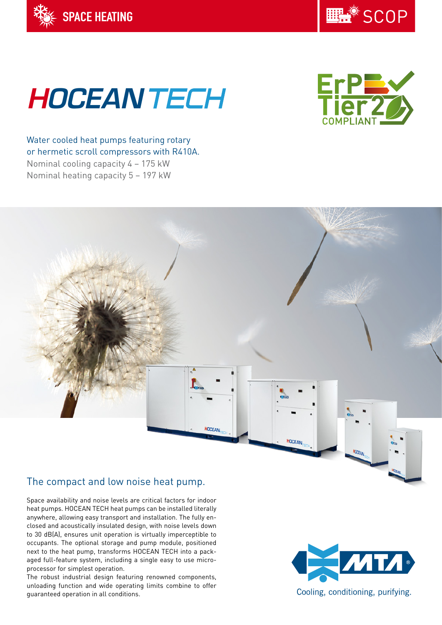

**LL SCOP** 

# **HOCEAN TECH**



Water cooled heat pumps featuring rotary or hermetic scroll compressors with R410A. Nominal cooling capacity 4 – 175 kW Nominal heating capacity 5 – 197 kW



# The compact and low noise heat pump.

Space availability and noise levels are critical factors for indoor heat pumps. HOCEAN TECH heat pumps can be installed literally anywhere, allowing easy transport and installation. The fully enclosed and acoustically insulated design, with noise levels down to 30 dB(A), ensures unit operation is virtually imperceptible to occupants. The optional storage and pump module, positioned next to the heat pump, transforms HOCEAN TECH into a packaged full-feature system, including a single easy to use microprocessor for simplest operation.

The robust industrial design featuring renowned components, unloading function and wide operating limits combine to offer guaranteed operation in all conditions.